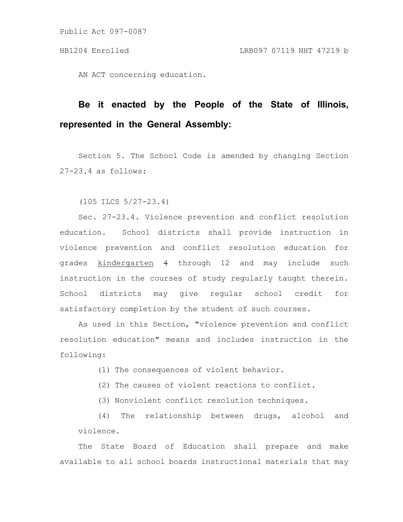Public Act 097-0087

AN ACT concerning education.

## **Be it enacted by the People of the State of Illinois, represented in the General Assembly:**

Section 5. The School Code is amended by changing Section 27-23.4 as follows:

(105 ILCS 5/27-23.4)

Sec. 27-23.4. Violence prevention and conflict resolution education. School districts shall provide instruction in violence prevention and conflict resolution education for grades kindergarten 4 through 12 and may include such instruction in the courses of study regularly taught therein. School districts may give regular school credit for satisfactory completion by the student of such courses.

As used in this Section, "violence prevention and conflict resolution education" means and includes instruction in the following:

(1) The consequences of violent behavior.

(2) The causes of violent reactions to conflict.

(3) Nonviolent conflict resolution techniques.

(4) The relationship between drugs, alcohol and violence.

The State Board of Education shall prepare and make available to all school boards instructional materials that may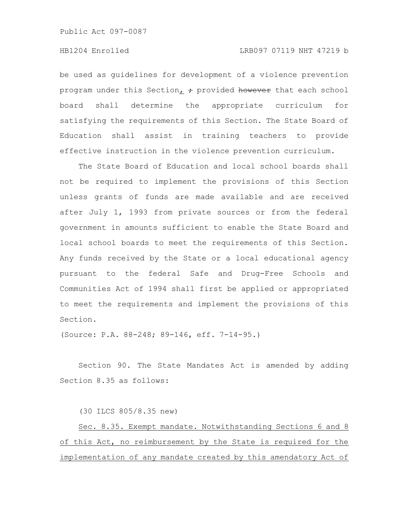Public Act 097-0087

## HB1204 Enrolled LRB097 07119 NHT 47219 b

be used as guidelines for development of a violence prevention program under this Section,  $\div$  provided however that each school board shall determine the appropriate curriculum for satisfying the requirements of this Section. The State Board of Education shall assist in training teachers to provide effective instruction in the violence prevention curriculum.

The State Board of Education and local school boards shall not be required to implement the provisions of this Section unless grants of funds are made available and are received after July 1, 1993 from private sources or from the federal government in amounts sufficient to enable the State Board and local school boards to meet the requirements of this Section. Any funds received by the State or a local educational agency pursuant to the federal Safe and Drug-Free Schools and Communities Act of 1994 shall first be applied or appropriated to meet the requirements and implement the provisions of this Section.

(Source: P.A. 88-248; 89-146, eff. 7-14-95.)

Section 90. The State Mandates Act is amended by adding Section 8.35 as follows:

(30 ILCS 805/8.35 new)

Sec. 8.35. Exempt mandate. Notwithstanding Sections 6 and 8 of this Act, no reimbursement by the State is required for the implementation of any mandate created by this amendatory Act of